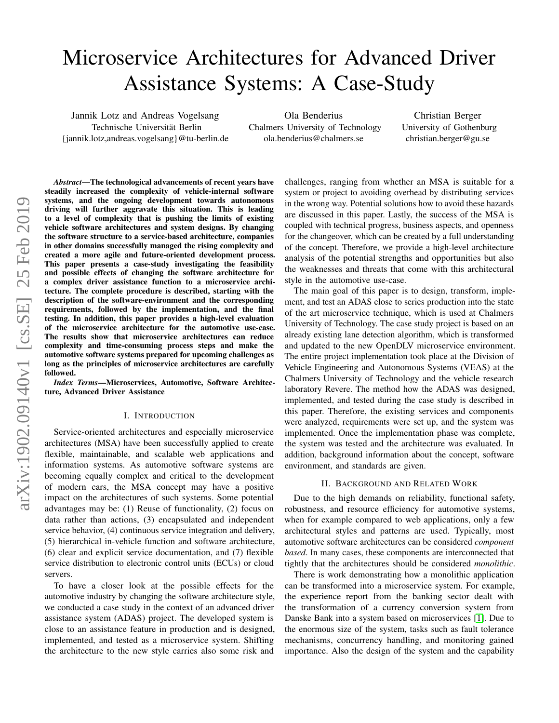# Microservice Architectures for Advanced Driver Assistance Systems: A Case-Study

Jannik Lotz and Andreas Vogelsang Technische Universität Berlin {jannik.lotz,andreas.vogelsang}@tu-berlin.de

Ola Benderius Chalmers University of Technology ola.benderius@chalmers.se

Christian Berger University of Gothenburg christian.berger@gu.se

*Abstract*—The technological advancements of recent years have steadily increased the complexity of vehicle-internal software systems, and the ongoing development towards autonomous driving will further aggravate this situation. This is leading to a level of complexity that is pushing the limits of existing vehicle software architectures and system designs. By changing the software structure to a service-based architecture, companies in other domains successfully managed the rising complexity and created a more agile and future-oriented development process. This paper presents a case-study investigating the feasibility and possible effects of changing the software architecture for a complex driver assistance function to a microservice architecture. The complete procedure is described, starting with the description of the software-environment and the corresponding requirements, followed by the implementation, and the final testing. In addition, this paper provides a high-level evaluation of the microservice architecture for the automotive use-case. The results show that microservice architectures can reduce complexity and time-consuming process steps and make the automotive software systems prepared for upcoming challenges as long as the principles of microservice architectures are carefully followed.

*Index Terms*—Microservices, Automotive, Software Architecture, Advanced Driver Assistance

#### I. INTRODUCTION

Service-oriented architectures and especially microservice architectures (MSA) have been successfully applied to create flexible, maintainable, and scalable web applications and information systems. As automotive software systems are becoming equally complex and critical to the development of modern cars, the MSA concept may have a positive impact on the architectures of such systems. Some potential advantages may be: (1) Reuse of functionality, (2) focus on data rather than actions, (3) encapsulated and independent service behavior, (4) continuous service integration and delivery, (5) hierarchical in-vehicle function and software architecture, (6) clear and explicit service documentation, and (7) flexible service distribution to electronic control units (ECUs) or cloud servers.

To have a closer look at the possible effects for the automotive industry by changing the software architecture style, we conducted a case study in the context of an advanced driver assistance system (ADAS) project. The developed system is close to an assistance feature in production and is designed, implemented, and tested as a microservice system. Shifting the architecture to the new style carries also some risk and

challenges, ranging from whether an MSA is suitable for a system or project to avoiding overhead by distributing services in the wrong way. Potential solutions how to avoid these hazards are discussed in this paper. Lastly, the success of the MSA is coupled with technical progress, business aspects, and openness for the changeover, which can be created by a full understanding of the concept. Therefore, we provide a high-level architecture analysis of the potential strengths and opportunities but also the weaknesses and threats that come with this architectural style in the automotive use-case.

The main goal of this paper is to design, transform, implement, and test an ADAS close to series production into the state of the art microservice technique, which is used at Chalmers University of Technology. The case study project is based on an already existing lane detection algorithm, which is transformed and updated to the new OpenDLV microservice environment. The entire project implementation took place at the Division of Vehicle Engineering and Autonomous Systems (VEAS) at the Chalmers University of Technology and the vehicle research laboratory Revere. The method how the ADAS was designed, implemented, and tested during the case study is described in this paper. Therefore, the existing services and components were analyzed, requirements were set up, and the system was implemented. Once the implementation phase was complete, the system was tested and the architecture was evaluated. In addition, background information about the concept, software environment, and standards are given.

#### II. BACKGROUND AND RELATED WORK

Due to the high demands on reliability, functional safety, robustness, and resource efficiency for automotive systems, when for example compared to web applications, only a few architectural styles and patterns are used. Typically, most automotive software architectures can be considered *component based*. In many cases, these components are interconnected that tightly that the architectures should be considered *monolithic*.

There is work demonstrating how a monolithic application can be transformed into a microservice system. For example, the experience report from the banking sector dealt with the transformation of a currency conversion system from Danske Bank into a system based on microservices [\[1\]](#page-7-0). Due to the enormous size of the system, tasks such as fault tolerance mechanisms, concurrency handling, and monitoring gained importance. Also the design of the system and the capability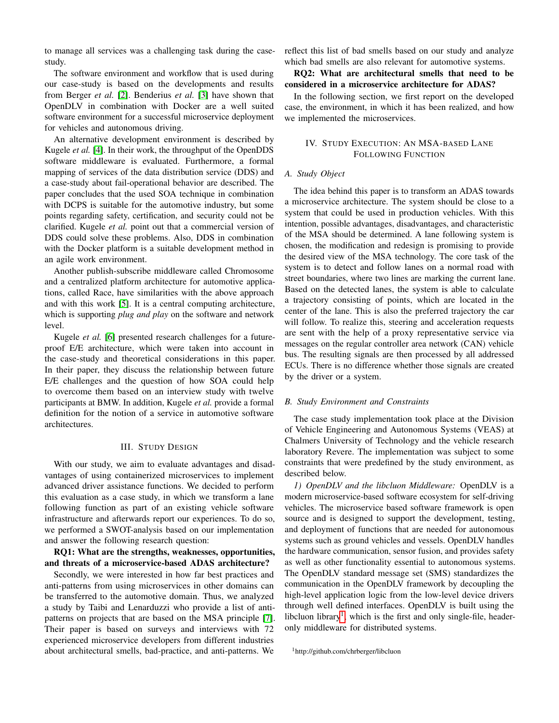to manage all services was a challenging task during the casestudy.

The software environment and workflow that is used during our case-study is based on the developments and results from Berger *et al.* [\[2\]](#page-7-1). Benderius *et al.* [\[3\]](#page-7-2) have shown that OpenDLV in combination with Docker are a well suited software environment for a successful microservice deployment for vehicles and autonomous driving.

An alternative development environment is described by Kugele *et al.* [\[4\]](#page-7-3). In their work, the throughput of the OpenDDS software middleware is evaluated. Furthermore, a formal mapping of services of the data distribution service (DDS) and a case-study about fail-operational behavior are described. The paper concludes that the used SOA technique in combination with DCPS is suitable for the automotive industry, but some points regarding safety, certification, and security could not be clarified. Kugele *et al.* point out that a commercial version of DDS could solve these problems. Also, DDS in combination with the Docker platform is a suitable development method in an agile work environment.

Another publish-subscribe middleware called Chromosome and a centralized platform architecture for automotive applications, called Race, have similarities with the above approach and with this work [\[5\]](#page-7-4). It is a central computing architecture, which is supporting *plug and play* on the software and network level.

Kugele *et al.* [\[6\]](#page-7-5) presented research challenges for a futureproof E/E architecture, which were taken into account in the case-study and theoretical considerations in this paper. In their paper, they discuss the relationship between future E/E challenges and the question of how SOA could help to overcome them based on an interview study with twelve participants at BMW. In addition, Kugele *et al.* provide a formal definition for the notion of a service in automotive software architectures.

### III. STUDY DESIGN

With our study, we aim to evaluate advantages and disadvantages of using containerized microservices to implement advanced driver assistance functions. We decided to perform this evaluation as a case study, in which we transform a lane following function as part of an existing vehicle software infrastructure and afterwards report our experiences. To do so, we performed a SWOT-analysis based on our implementation and answer the following research question:

RQ1: What are the strengths, weaknesses, opportunities, and threats of a microservice-based ADAS architecture?

Secondly, we were interested in how far best practices and anti-patterns from using microservices in other domains can be transferred to the automotive domain. Thus, we analyzed a study by Taibi and Lenarduzzi who provide a list of antipatterns on projects that are based on the MSA principle [\[7\]](#page-7-6). Their paper is based on surveys and interviews with 72 experienced microservice developers from different industries about architectural smells, bad-practice, and anti-patterns. We

reflect this list of bad smells based on our study and analyze which bad smells are also relevant for automotive systems.

## RQ2: What are architectural smells that need to be considered in a microservice architecture for ADAS?

In the following section, we first report on the developed case, the environment, in which it has been realized, and how we implemented the microservices.

### IV. STUDY EXECUTION: AN MSA-BASED LANE FOLLOWING FUNCTION

#### *A. Study Object*

The idea behind this paper is to transform an ADAS towards a microservice architecture. The system should be close to a system that could be used in production vehicles. With this intention, possible advantages, disadvantages, and characteristic of the MSA should be determined. A lane following system is chosen, the modification and redesign is promising to provide the desired view of the MSA technology. The core task of the system is to detect and follow lanes on a normal road with street boundaries, where two lines are marking the current lane. Based on the detected lanes, the system is able to calculate a trajectory consisting of points, which are located in the center of the lane. This is also the preferred trajectory the car will follow. To realize this, steering and acceleration requests are sent with the help of a proxy representative service via messages on the regular controller area network (CAN) vehicle bus. The resulting signals are then processed by all addressed ECUs. There is no difference whether those signals are created by the driver or a system.

#### *B. Study Environment and Constraints*

The case study implementation took place at the Division of Vehicle Engineering and Autonomous Systems (VEAS) at Chalmers University of Technology and the vehicle research laboratory Revere. The implementation was subject to some constraints that were predefined by the study environment, as described below.

*1) OpenDLV and the libcluon Middleware:* OpenDLV is a modern microservice-based software ecosystem for self-driving vehicles. The microservice based software framework is open source and is designed to support the development, testing, and deployment of functions that are needed for autonomous systems such as ground vehicles and vessels. OpenDLV handles the hardware communication, sensor fusion, and provides safety as well as other functionality essential to autonomous systems. The OpenDLV standard message set (SMS) standardizes the communication in the OpenDLV framework by decoupling the high-level application logic from the low-level device drivers through well defined interfaces. OpenDLV is built using the libcluon library<sup>[1](#page-1-0)</sup>, which is the first and only single-file, headeronly middleware for distributed systems.

<span id="page-1-0"></span><sup>1</sup>http://github.com/chrberger/libcluon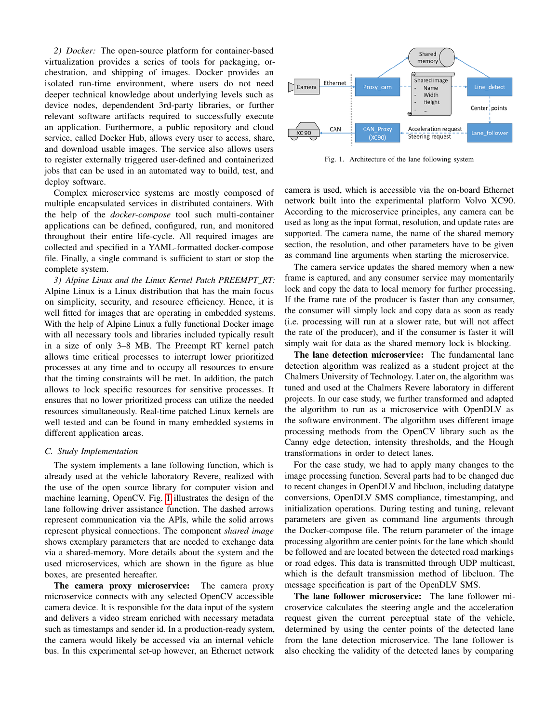*2) Docker:* The open-source platform for container-based virtualization provides a series of tools for packaging, orchestration, and shipping of images. Docker provides an isolated run-time environment, where users do not need deeper technical knowledge about underlying levels such as device nodes, dependendent 3rd-party libraries, or further relevant software artifacts required to successfully execute an application. Furthermore, a public repository and cloud service, called Docker Hub, allows every user to access, share, and download usable images. The service also allows users to register externally triggered user-defined and containerized jobs that can be used in an automated way to build, test, and deploy software.

Complex microservice systems are mostly composed of multiple encapsulated services in distributed containers. With the help of the *docker-compose* tool such multi-container applications can be defined, configured, run, and monitored throughout their entire life-cycle. All required images are collected and specified in a YAML-formatted docker-compose file. Finally, a single command is sufficient to start or stop the complete system.

*3) Alpine Linux and the Linux Kernel Patch PREEMPT\_RT:* Alpine Linux is a Linux distribution that has the main focus on simplicity, security, and resource efficiency. Hence, it is well fitted for images that are operating in embedded systems. With the help of Alpine Linux a fully functional Docker image with all necessary tools and libraries included typically result in a size of only 3–8 MB. The Preempt RT kernel patch allows time critical processes to interrupt lower prioritized processes at any time and to occupy all resources to ensure that the timing constraints will be met. In addition, the patch allows to lock specific resources for sensitive processes. It ensures that no lower prioritized process can utilize the needed resources simultaneously. Real-time patched Linux kernels are well tested and can be found in many embedded systems in different application areas.

#### *C. Study Implementation*

The system implements a lane following function, which is already used at the vehicle laboratory Revere, realized with the use of the open source library for computer vision and machine learning, OpenCV. Fig. [1](#page-2-0) illustrates the design of the lane following driver assistance function. The dashed arrows represent communication via the APIs, while the solid arrows represent physical connections. The component *shared image* shows exemplary parameters that are needed to exchange data via a shared-memory. More details about the system and the used microservices, which are shown in the figure as blue boxes, are presented hereafter.

The camera proxy microservice: The camera proxy microservice connects with any selected OpenCV accessible camera device. It is responsible for the data input of the system and delivers a video stream enriched with necessary metadata such as timestamps and sender id. In a production-ready system, the camera would likely be accessed via an internal vehicle bus. In this experimental set-up however, an Ethernet network



<span id="page-2-0"></span>Fig. 1. Architecture of the lane following system

camera is used, which is accessible via the on-board Ethernet network built into the experimental platform Volvo XC90. According to the microservice principles, any camera can be used as long as the input format, resolution, and update rates are supported. The camera name, the name of the shared memory section, the resolution, and other parameters have to be given as command line arguments when starting the microservice.

The camera service updates the shared memory when a new frame is captured, and any consumer service may momentarily lock and copy the data to local memory for further processing. If the frame rate of the producer is faster than any consumer, the consumer will simply lock and copy data as soon as ready (i.e. processing will run at a slower rate, but will not affect the rate of the producer), and if the consumer is faster it will simply wait for data as the shared memory lock is blocking.

The lane detection microservice: The fundamental lane detection algorithm was realized as a student project at the Chalmers University of Technology. Later on, the algorithm was tuned and used at the Chalmers Revere laboratory in different projects. In our case study, we further transformed and adapted the algorithm to run as a microservice with OpenDLV as the software environment. The algorithm uses different image processing methods from the OpenCV library such as the Canny edge detection, intensity thresholds, and the Hough transformations in order to detect lanes.

For the case study, we had to apply many changes to the image processing function. Several parts had to be changed due to recent changes in OpenDLV and libcluon, including datatype conversions, OpenDLV SMS compliance, timestamping, and initialization operations. During testing and tuning, relevant parameters are given as command line arguments through the Docker-compose file. The return parameter of the image processing algorithm are center points for the lane which should be followed and are located between the detected road markings or road edges. This data is transmitted through UDP multicast, which is the default transmission method of libcluon. The message specification is part of the OpenDLV SMS.

The lane follower microservice: The lane follower microservice calculates the steering angle and the acceleration request given the current perceptual state of the vehicle, determined by using the center points of the detected lane from the lane detection microservice. The lane follower is also checking the validity of the detected lanes by comparing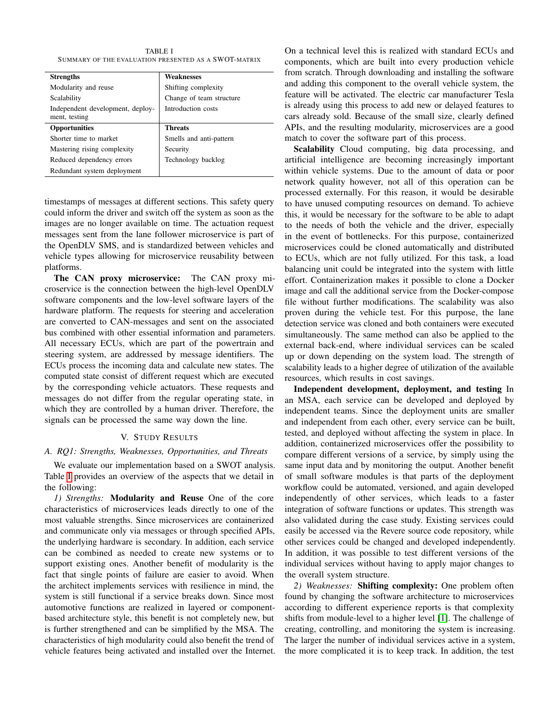<span id="page-3-0"></span>TABLE I SUMMARY OF THE EVALUATION PRESENTED AS A SWOT-MATRIX

| <b>Strengths</b>                                  | <b>Weaknesses</b>        |
|---------------------------------------------------|--------------------------|
| Modularity and reuse                              | Shifting complexity      |
| Scalability                                       | Change of team structure |
| Independent development, deploy-<br>ment, testing | Introduction costs       |
| <b>Opportunities</b>                              | <b>Threats</b>           |
| Shorter time to market                            | Smells and anti-pattern  |
| Mastering rising complexity                       | Security                 |
| Reduced dependency errors                         | Technology backlog       |
| Redundant system deployment                       |                          |

timestamps of messages at different sections. This safety query could inform the driver and switch off the system as soon as the images are no longer available on time. The actuation request messages sent from the lane follower microservice is part of the OpenDLV SMS, and is standardized between vehicles and vehicle types allowing for microservice reusability between platforms.

The CAN proxy microservice: The CAN proxy microservice is the connection between the high-level OpenDLV software components and the low-level software layers of the hardware platform. The requests for steering and acceleration are converted to CAN-messages and sent on the associated bus combined with other essential information and parameters. All necessary ECUs, which are part of the powertrain and steering system, are addressed by message identifiers. The ECUs process the incoming data and calculate new states. The computed state consist of different request which are executed by the corresponding vehicle actuators. These requests and messages do not differ from the regular operating state, in which they are controlled by a human driver. Therefore, the signals can be processed the same way down the line.

# V. STUDY RESULTS

## *A. RQ1: Strengths, Weaknesses, Opportunities, and Threats*

We evaluate our implementation based on a SWOT analysis. Table [I](#page-3-0) provides an overview of the aspects that we detail in the following:

*1) Strengths:* Modularity and Reuse One of the core characteristics of microservices leads directly to one of the most valuable strengths. Since microservices are containerized and communicate only via messages or through specified APIs, the underlying hardware is secondary. In addition, each service can be combined as needed to create new systems or to support existing ones. Another benefit of modularity is the fact that single points of failure are easier to avoid. When the architect implements services with resilience in mind, the system is still functional if a service breaks down. Since most automotive functions are realized in layered or componentbased architecture style, this benefit is not completely new, but is further strengthened and can be simplified by the MSA. The characteristics of high modularity could also benefit the trend of vehicle features being activated and installed over the Internet.

On a technical level this is realized with standard ECUs and components, which are built into every production vehicle from scratch. Through downloading and installing the software and adding this component to the overall vehicle system, the feature will be activated. The electric car manufacturer Tesla is already using this process to add new or delayed features to cars already sold. Because of the small size, clearly defined APIs, and the resulting modularity, microservices are a good match to cover the software part of this process.

Scalability Cloud computing, big data processing, and artificial intelligence are becoming increasingly important within vehicle systems. Due to the amount of data or poor network quality however, not all of this operation can be processed externally. For this reason, it would be desirable to have unused computing resources on demand. To achieve this, it would be necessary for the software to be able to adapt to the needs of both the vehicle and the driver, especially in the event of bottlenecks. For this purpose, containerized microservices could be cloned automatically and distributed to ECUs, which are not fully utilized. For this task, a load balancing unit could be integrated into the system with little effort. Containerization makes it possible to clone a Docker image and call the additional service from the Docker-compose file without further modifications. The scalability was also proven during the vehicle test. For this purpose, the lane detection service was cloned and both containers were executed simultaneously. The same method can also be applied to the external back-end, where individual services can be scaled up or down depending on the system load. The strength of scalability leads to a higher degree of utilization of the available resources, which results in cost savings.

Independent development, deployment, and testing In an MSA, each service can be developed and deployed by independent teams. Since the deployment units are smaller and independent from each other, every service can be built, tested, and deployed without affecting the system in place. In addition, containerized microservices offer the possibility to compare different versions of a service, by simply using the same input data and by monitoring the output. Another benefit of small software modules is that parts of the deployment workflow could be automated, versioned, and again developed independently of other services, which leads to a faster integration of software functions or updates. This strength was also validated during the case study. Existing services could easily be accessed via the Revere source code repository, while other services could be changed and developed independently. In addition, it was possible to test different versions of the individual services without having to apply major changes to the overall system structure.

*2) Weaknesses:* Shifting complexity: One problem often found by changing the software architecture to microservices according to different experience reports is that complexity shifts from module-level to a higher level [\[1\]](#page-7-0). The challenge of creating, controlling, and monitoring the system is increasing. The larger the number of individual services active in a system, the more complicated it is to keep track. In addition, the test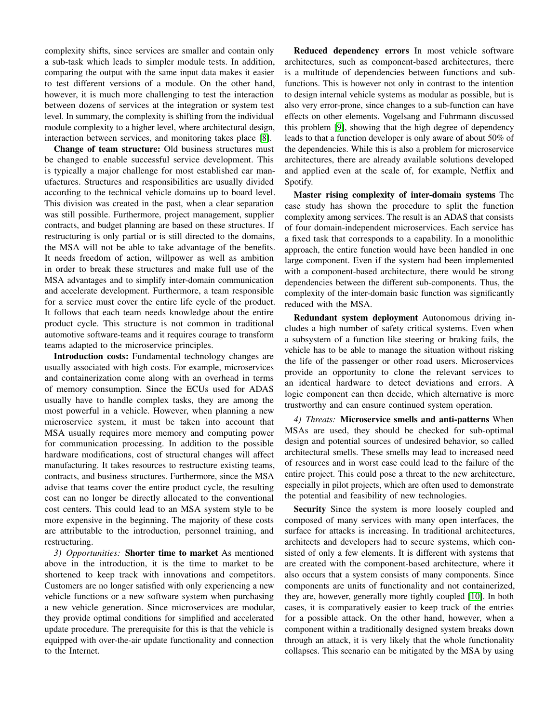complexity shifts, since services are smaller and contain only a sub-task which leads to simpler module tests. In addition, comparing the output with the same input data makes it easier to test different versions of a module. On the other hand, however, it is much more challenging to test the interaction between dozens of services at the integration or system test level. In summary, the complexity is shifting from the individual module complexity to a higher level, where architectural design, interaction between services, and monitoring takes place [\[8\]](#page-7-7).

Change of team structure: Old business structures must be changed to enable successful service development. This is typically a major challenge for most established car manufactures. Structures and responsibilities are usually divided according to the technical vehicle domains up to board level. This division was created in the past, when a clear separation was still possible. Furthermore, project management, supplier contracts, and budget planning are based on these structures. If restructuring is only partial or is still directed to the domains, the MSA will not be able to take advantage of the benefits. It needs freedom of action, willpower as well as ambition in order to break these structures and make full use of the MSA advantages and to simplify inter-domain communication and accelerate development. Furthermore, a team responsible for a service must cover the entire life cycle of the product. It follows that each team needs knowledge about the entire product cycle. This structure is not common in traditional automotive software-teams and it requires courage to transform teams adapted to the microservice principles.

Introduction costs: Fundamental technology changes are usually associated with high costs. For example, microservices and containerization come along with an overhead in terms of memory consumption. Since the ECUs used for ADAS usually have to handle complex tasks, they are among the most powerful in a vehicle. However, when planning a new microservice system, it must be taken into account that MSA usually requires more memory and computing power for communication processing. In addition to the possible hardware modifications, cost of structural changes will affect manufacturing. It takes resources to restructure existing teams, contracts, and business structures. Furthermore, since the MSA advise that teams cover the entire product cycle, the resulting cost can no longer be directly allocated to the conventional cost centers. This could lead to an MSA system style to be more expensive in the beginning. The majority of these costs are attributable to the introduction, personnel training, and restructuring.

*3) Opportunities:* Shorter time to market As mentioned above in the introduction, it is the time to market to be shortened to keep track with innovations and competitors. Customers are no longer satisfied with only experiencing a new vehicle functions or a new software system when purchasing a new vehicle generation. Since microservices are modular, they provide optimal conditions for simplified and accelerated update procedure. The prerequisite for this is that the vehicle is equipped with over-the-air update functionality and connection to the Internet.

Reduced dependency errors In most vehicle software architectures, such as component-based architectures, there is a multitude of dependencies between functions and subfunctions. This is however not only in contrast to the intention to design internal vehicle systems as modular as possible, but is also very error-prone, since changes to a sub-function can have effects on other elements. Vogelsang and Fuhrmann discussed this problem [\[9\]](#page-7-8), showing that the high degree of dependency leads to that a function developer is only aware of about 50% of the dependencies. While this is also a problem for microservice architectures, there are already available solutions developed and applied even at the scale of, for example, Netflix and Spotify.

Master rising complexity of inter-domain systems The case study has shown the procedure to split the function complexity among services. The result is an ADAS that consists of four domain-independent microservices. Each service has a fixed task that corresponds to a capability. In a monolithic approach, the entire function would have been handled in one large component. Even if the system had been implemented with a component-based architecture, there would be strong dependencies between the different sub-components. Thus, the complexity of the inter-domain basic function was significantly reduced with the MSA.

Redundant system deployment Autonomous driving includes a high number of safety critical systems. Even when a subsystem of a function like steering or braking fails, the vehicle has to be able to manage the situation without risking the life of the passenger or other road users. Microservices provide an opportunity to clone the relevant services to an identical hardware to detect deviations and errors. A logic component can then decide, which alternative is more trustworthy and can ensure continued system operation.

*4) Threats:* Microservice smells and anti-patterns When MSAs are used, they should be checked for sub-optimal design and potential sources of undesired behavior, so called architectural smells. These smells may lead to increased need of resources and in worst case could lead to the failure of the entire project. This could pose a threat to the new architecture, especially in pilot projects, which are often used to demonstrate the potential and feasibility of new technologies.

Security Since the system is more loosely coupled and composed of many services with many open interfaces, the surface for attacks is increasing. In traditional architectures, architects and developers had to secure systems, which consisted of only a few elements. It is different with systems that are created with the component-based architecture, where it also occurs that a system consists of many components. Since components are units of functionality and not containerized, they are, however, generally more tightly coupled [\[10\]](#page-7-9). In both cases, it is comparatively easier to keep track of the entries for a possible attack. On the other hand, however, when a component within a traditionally designed system breaks down through an attack, it is very likely that the whole functionality collapses. This scenario can be mitigated by the MSA by using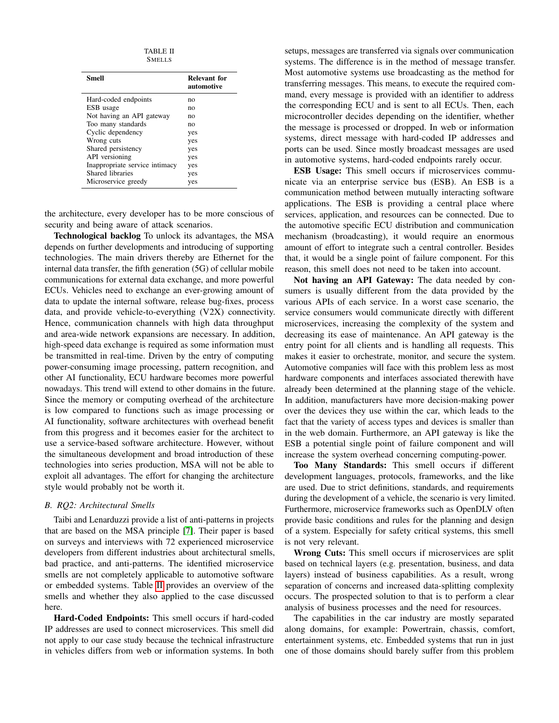TABLE II SMELLS

<span id="page-5-0"></span>

| Smell<br>Relevant for<br>automotive   |  |
|---------------------------------------|--|
|                                       |  |
| Hard-coded endpoints<br>no            |  |
| ESB usage<br>no                       |  |
| Not having an API gateway<br>no       |  |
| Too many standards<br>no              |  |
| Cyclic dependency<br>yes              |  |
| Wrong cuts<br>yes                     |  |
| Shared persistency<br>yes             |  |
| API versioning<br>yes                 |  |
| Inappropriate service intimacy<br>yes |  |
| Shared libraries<br>yes               |  |
| Microservice greedy<br>yes            |  |

the architecture, every developer has to be more conscious of security and being aware of attack scenarios.

Technological backlog To unlock its advantages, the MSA depends on further developments and introducing of supporting technologies. The main drivers thereby are Ethernet for the internal data transfer, the fifth generation (5G) of cellular mobile communications for external data exchange, and more powerful ECUs. Vehicles need to exchange an ever-growing amount of data to update the internal software, release bug-fixes, process data, and provide vehicle-to-everything (V2X) connectivity. Hence, communication channels with high data throughput and area-wide network expansions are necessary. In addition, high-speed data exchange is required as some information must be transmitted in real-time. Driven by the entry of computing power-consuming image processing, pattern recognition, and other AI functionality, ECU hardware becomes more powerful nowadays. This trend will extend to other domains in the future. Since the memory or computing overhead of the architecture is low compared to functions such as image processing or AI functionality, software architectures with overhead benefit from this progress and it becomes easier for the architect to use a service-based software architecture. However, without the simultaneous development and broad introduction of these technologies into series production, MSA will not be able to exploit all advantages. The effort for changing the architecture style would probably not be worth it.

## *B. RQ2: Architectural Smells*

Taibi and Lenarduzzi provide a list of anti-patterns in projects that are based on the MSA principle [\[7\]](#page-7-6). Their paper is based on surveys and interviews with 72 experienced microservice developers from different industries about architectural smells, bad practice, and anti-patterns. The identified microservice smells are not completely applicable to automotive software or embedded systems. Table [II](#page-5-0) provides an overview of the smells and whether they also applied to the case discussed here.

Hard-Coded Endpoints: This smell occurs if hard-coded IP addresses are used to connect microservices. This smell did not apply to our case study because the technical infrastructure in vehicles differs from web or information systems. In both setups, messages are transferred via signals over communication systems. The difference is in the method of message transfer. Most automotive systems use broadcasting as the method for transferring messages. This means, to execute the required command, every message is provided with an identifier to address the corresponding ECU and is sent to all ECUs. Then, each microcontroller decides depending on the identifier, whether the message is processed or dropped. In web or information systems, direct message with hard-coded IP addresses and ports can be used. Since mostly broadcast messages are used in automotive systems, hard-coded endpoints rarely occur.

ESB Usage: This smell occurs if microservices communicate via an enterprise service bus (ESB). An ESB is a communication method between mutually interacting software applications. The ESB is providing a central place where services, application, and resources can be connected. Due to the automotive specific ECU distribution and communication mechanism (broadcasting), it would require an enormous amount of effort to integrate such a central controller. Besides that, it would be a single point of failure component. For this reason, this smell does not need to be taken into account.

Not having an API Gateway: The data needed by consumers is usually different from the data provided by the various APIs of each service. In a worst case scenario, the service consumers would communicate directly with different microservices, increasing the complexity of the system and decreasing its ease of maintenance. An API gateway is the entry point for all clients and is handling all requests. This makes it easier to orchestrate, monitor, and secure the system. Automotive companies will face with this problem less as most hardware components and interfaces associated therewith have already been determined at the planning stage of the vehicle. In addition, manufacturers have more decision-making power over the devices they use within the car, which leads to the fact that the variety of access types and devices is smaller than in the web domain. Furthermore, an API gateway is like the ESB a potential single point of failure component and will increase the system overhead concerning computing-power.

Too Many Standards: This smell occurs if different development languages, protocols, frameworks, and the like are used. Due to strict definitions, standards, and requirements during the development of a vehicle, the scenario is very limited. Furthermore, microservice frameworks such as OpenDLV often provide basic conditions and rules for the planning and design of a system. Especially for safety critical systems, this smell is not very relevant.

Wrong Cuts: This smell occurs if microservices are split based on technical layers (e.g. presentation, business, and data layers) instead of business capabilities. As a result, wrong separation of concerns and increased data-splitting complexity occurs. The prospected solution to that is to perform a clear analysis of business processes and the need for resources.

The capabilities in the car industry are mostly separated along domains, for example: Powertrain, chassis, comfort, entertainment systems, etc. Embedded systems that run in just one of those domains should barely suffer from this problem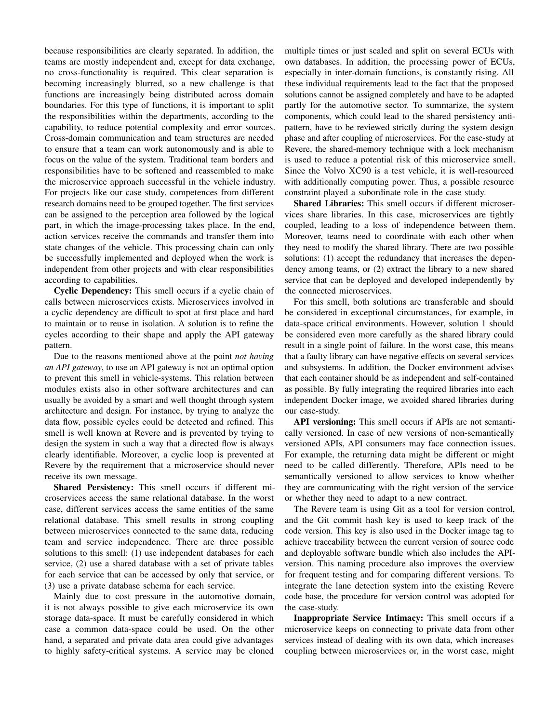because responsibilities are clearly separated. In addition, the teams are mostly independent and, except for data exchange, no cross-functionality is required. This clear separation is becoming increasingly blurred, so a new challenge is that functions are increasingly being distributed across domain boundaries. For this type of functions, it is important to split the responsibilities within the departments, according to the capability, to reduce potential complexity and error sources. Cross-domain communication and team structures are needed to ensure that a team can work autonomously and is able to focus on the value of the system. Traditional team borders and responsibilities have to be softened and reassembled to make the microservice approach successful in the vehicle industry. For projects like our case study, competences from different research domains need to be grouped together. The first services can be assigned to the perception area followed by the logical part, in which the image-processing takes place. In the end, action services receive the commands and transfer them into state changes of the vehicle. This processing chain can only be successfully implemented and deployed when the work is independent from other projects and with clear responsibilities according to capabilities.

Cyclic Dependency: This smell occurs if a cyclic chain of calls between microservices exists. Microservices involved in a cyclic dependency are difficult to spot at first place and hard to maintain or to reuse in isolation. A solution is to refine the cycles according to their shape and apply the API gateway pattern.

Due to the reasons mentioned above at the point *not having an API gateway*, to use an API gateway is not an optimal option to prevent this smell in vehicle-systems. This relation between modules exists also in other software architectures and can usually be avoided by a smart and well thought through system architecture and design. For instance, by trying to analyze the data flow, possible cycles could be detected and refined. This smell is well known at Revere and is prevented by trying to design the system in such a way that a directed flow is always clearly identifiable. Moreover, a cyclic loop is prevented at Revere by the requirement that a microservice should never receive its own message.

Shared Persistency: This smell occurs if different microservices access the same relational database. In the worst case, different services access the same entities of the same relational database. This smell results in strong coupling between microservices connected to the same data, reducing team and service independence. There are three possible solutions to this smell: (1) use independent databases for each service, (2) use a shared database with a set of private tables for each service that can be accessed by only that service, or (3) use a private database schema for each service.

Mainly due to cost pressure in the automotive domain, it is not always possible to give each microservice its own storage data-space. It must be carefully considered in which case a common data-space could be used. On the other hand, a separated and private data area could give advantages to highly safety-critical systems. A service may be cloned

multiple times or just scaled and split on several ECUs with own databases. In addition, the processing power of ECUs, especially in inter-domain functions, is constantly rising. All these individual requirements lead to the fact that the proposed solutions cannot be assigned completely and have to be adapted partly for the automotive sector. To summarize, the system components, which could lead to the shared persistency antipattern, have to be reviewed strictly during the system design phase and after coupling of microservices. For the case-study at Revere, the shared-memory technique with a lock mechanism is used to reduce a potential risk of this microservice smell. Since the Volvo XC90 is a test vehicle, it is well-resourced with additionally computing power. Thus, a possible resource constraint played a subordinate role in the case study.

Shared Libraries: This smell occurs if different microservices share libraries. In this case, microservices are tightly coupled, leading to a loss of independence between them. Moreover, teams need to coordinate with each other when they need to modify the shared library. There are two possible solutions: (1) accept the redundancy that increases the dependency among teams, or (2) extract the library to a new shared service that can be deployed and developed independently by the connected microservices.

For this smell, both solutions are transferable and should be considered in exceptional circumstances, for example, in data-space critical environments. However, solution 1 should be considered even more carefully as the shared library could result in a single point of failure. In the worst case, this means that a faulty library can have negative effects on several services and subsystems. In addition, the Docker environment advises that each container should be as independent and self-contained as possible. By fully integrating the required libraries into each independent Docker image, we avoided shared libraries during our case-study.

API versioning: This smell occurs if APIs are not semantically versioned. In case of new versions of non-semantically versioned APIs, API consumers may face connection issues. For example, the returning data might be different or might need to be called differently. Therefore, APIs need to be semantically versioned to allow services to know whether they are communicating with the right version of the service or whether they need to adapt to a new contract.

The Revere team is using Git as a tool for version control, and the Git commit hash key is used to keep track of the code version. This key is also used in the Docker image tag to achieve traceability between the current version of source code and deployable software bundle which also includes the APIversion. This naming procedure also improves the overview for frequent testing and for comparing different versions. To integrate the lane detection system into the existing Revere code base, the procedure for version control was adopted for the case-study.

Inappropriate Service Intimacy: This smell occurs if a microservice keeps on connecting to private data from other services instead of dealing with its own data, which increases coupling between microservices or, in the worst case, might